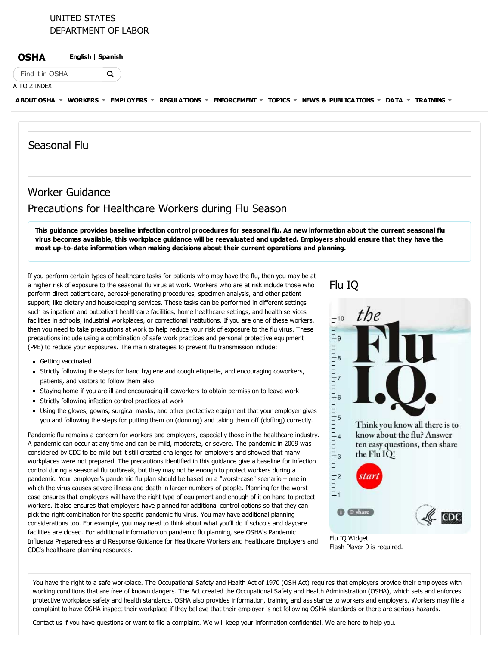## UNITED STATES [DEPARTMENT](https://www.dol.gov/) OF LABOR

Q

[OSHA](https://www.osha.gov/) [English](javascript:doGTranslate() <sup>|</sup> [Spanish](javascript:doGTranslate()

Find it in OSHA

### A TO Z [INDEX](https://www.osha.gov/html/a-z-index.html)

[ABOUT](https://www.osha.gov/about.html) OSHA  $\le$  [WORKERS](https://www.osha.gov/workers/)  $\le$  [EMPLOYERS](https://www.osha.gov/employers/)  $\le$  [REGULATIONS](https://www.osha.gov/law-regs.html)  $\le$  [ENFORCEMENT](https://www.osha.gov/dep/index.html)  $\le$  [TOPICS](https://www.osha.gov/SLTC/index.html)  $\le$  NEWS & [PUBLICATIONS](https://www.osha.gov/news)  $\le$  [DATA](https://www.osha.gov/oshstats/index.html)  $\le$  [TRAINING](https://www.osha.gov/dte/)  $\le$ 

## Seasonal Flu

# Worker Guidance Precautions for Healthcare Workers during Flu Season

This guidance provides baseline infection control procedures for seasonal flu. As new information about the current seasonal flu virus becomes available, this workplace guidance will be reevaluated and updated. Employers should ensure that they have the most up-to-date information when making decisions about their current operations and planning.

If you perform certain types of healthcare tasks for patients who may have the flu, then you may be at a higher risk of exposure to the seasonal flu virus at work. Workers who are at risk include those who perform direct patient care, aerosol-generating procedures, specimen analysis, and other patient support, like dietary and housekeeping services. These tasks can be performed in different settings such as inpatient and outpatient healthcare facilities, home healthcare settings, and health services facilities in schools, industrial workplaces, or correctional institutions. If you are one of these workers, then you need to take precautions at work to help reduce your risk of exposure to the flu virus. These precautions include using a combination of safe work practices and personal protective equipment (PPE) to reduce your exposures. The main strategies to prevent flu transmission include:

- Getting vaccinated
- Strictly following the steps for hand hygiene and cough etiquette, and encouraging coworkers, patients, and visitors to follow them also
- Staying home if you are ill and encouraging ill coworkers to obtain permission to leave work
- Strictly following infection control practices at work
- Using the gloves, gowns, surgical masks, and other protective equipment that your employer gives you and following the steps for putting them on (donning) and taking them off (doffing) correctly.

Pandemic flu remains a concern for workers and employers, especially those in the healthcare industry. A pandemic can occur at any time and can be mild, moderate, or severe. The pandemic in 2009 was considered by CDC to be mild but it still created challenges for employers and showed that many workplaces were not prepared. The precautions identified in this guidance give a baseline for infection control during a seasonal flu outbreak, but they may not be enough to protect workers during a pandemic. Your employer's pandemic flu plan should be based on a "worst-case" scenario – one in which the virus causes severe illness and death in larger numbers of people. Planning for the worstcase ensures that employers will have the right type of equipment and enough of it on hand to protect workers. It also ensures that employers have planned for additional control options so that they can pick the right combination for the specific pandemic flu virus. You may have additional planning considerations too. For example, you may need to think about what you'll do if schools and daycare facilities are closed. For additional information on pandemic flu planning, see OSHA's Pandemic Influenza [Preparedness](https://www.osha.gov/Publications/3328-05-2007-English.html) and Response Guidance for Healthcare Workers and Healthcare Employers and CDC's [healthcare](http://www.flu.gov/planning-preparedness/hospital/index.html) planning resources.

# [Flu](http://www.cdc.gov/widgets/FluIQ/alt/) IQ





You have the right to a safe workplace. The [Occupational](https://www.osha.gov/pls/oshaweb/owasrch.search_form?p_doc_type=OSHACT&p_toc_level=0) Safety and Health Act of 1970 (OSH Act) requires that employers provide their employees with working conditions that are free of known dangers. The Act created the Occupational Safety and Health Administration (OSHA), which sets and enforces protective workplace safety and health standards. OSHA also provides information, training and assistance to workers and employers. Workers may file a complaint to have OSHA inspect their workplace if they believe that their employer is not following OSHA standards or there are serious hazards.

[Contact](https://www.osha.gov/html/Feed_Back.html) us if you have questions or want to file a complaint. We will keep your information confidential. We are here to help you.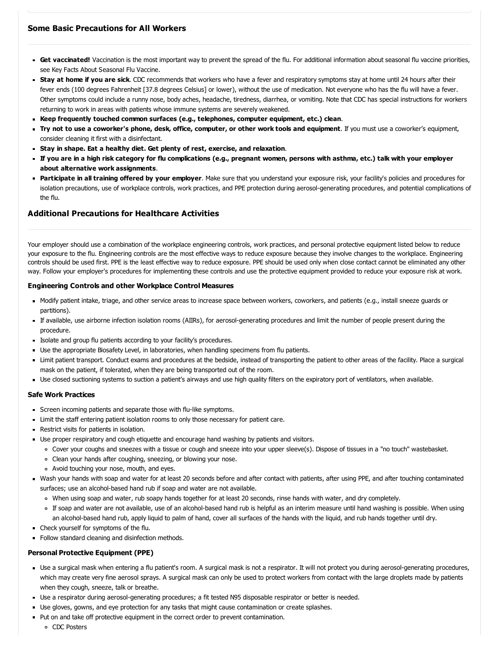- Get vaccinated! Vaccination is the most important way to prevent the spread of the flu. For additional information about seasonal flu vaccine priorities, see Key Facts About [Seasonal](http://www.cdc.gov/flu/protect/keyfacts.htm) Flu Vaccine.
- **Stay at home if you are sick**. CDC recommends that workers who have a fever and respiratory symptoms stay at home until 24 hours after their fever ends (100 degrees Fahrenheit [37.8 degrees Celsius] or lower), without the use of medication. Not everyone who has the flu will have a fever. Other symptoms could include a runny nose, body aches, headache, tiredness, diarrhea, or vomiting. Note that CDC has special [instructions](http://www.cdc.gov/vhf/ebola/healthcare-us/hospitals/infection-control.html) for workers returning to work in areas with patients whose immune systems are severely weakened.
- Keep frequently touched common surfaces (e.g., telephones, computer equipment, etc.) clean.
- " Try not to use a coworker's phone, desk, office, computer, or other work tools and equipment. If you must use a coworker's equipment, consider cleaning it first with a disinfectant.
- Stay in shape. Eat a healthy diet. Get plenty of rest, exercise, and relaxation.
- If you are in a [high](http://www.cdc.gov/flu/about/disease/high_risk.htm) risk category for flu complications (e.g., pregnant women, persons with asthma, etc.) talk with your employer about alternative work assignments.
- **Participate in all training offered by your employer**. Make sure that you understand your exposure risk, your facility's policies and procedures for isolation precautions, use of workplace controls, work practices, and PPE protection during aerosol-generating procedures, and potential complications of the flu.

### Additional Precautions for Healthcare Activities

Your employer should use a combination of the workplace engineering controls, work practices, and personal protective equipment listed below to reduce your exposure to the flu. Engineering controls are the most effective ways to reduce exposure because they involve changes to the workplace. Engineering controls should be used first. PPE is the least effective way to reduce exposure. PPE should be used only when close contact cannot be eliminated any other way. Follow your employer's procedures for implementing these controls and use the protective equipment provided to reduce your exposure risk at work.

#### Engineering Controls and other Workplace Control Measures

- Modify patient intake, triage, and other service areas to increase space between workers, coworkers, and patients (e.g., install sneeze guards or partitions).
- If available, use airborne [infection](https://www.osha.gov/Publications/3328-05-2007-English.html#AirborneInfectionIsolationRooms) isolation rooms (AIIRs), for [aerosol-generating](https://www.osha.gov/Publications/3328-05-2007-English.html#EngineeringControlsforAerosol-GeneratingProceduresforPatientswithPandemicInfluenza) procedures and limit the number of people present during the procedure.
- Isolate and group flu patients according to your facility's procedures.
- Use the appropriate Biosafety Level, in laboratories, when handling specimens from flu patients.
- Limit patient transport. Conduct exams and procedures at the bedside, instead of transporting the patient to other areas of the facility. Place a surgical mask on the patient, if tolerated, when they are being transported out of the room.
- Use closed suctioning systems to suction a patient's airways and use high quality filters on the expiratory port of ventilators, when available.

#### Safe Work Practices

- Screen incoming patients and separate those with flu-like symptoms.
- Limit the staff entering patient isolation rooms to only those necessary for patient care.
- Restrict visits for patients in isolation.
- Use proper respiratory and cough etiquette and encourage hand washing by patients and visitors.
	- Cover your coughs and sneezes with a tissue or cough and sneeze into your upper sleeve(s). Dispose of tissues in a "no touch" wastebasket.
	- Clean your hands after coughing, sneezing, or blowing your nose.
	- Avoid touching your nose, mouth, and eyes.
- Wash your hands with soap and water for at least 20 seconds before and after contact with patients, after using PPE, and after touching contaminated surfaces; use an alcohol-based hand rub if soap and water are not available.
	- When using soap and water, rub soapy hands together for at least 20 seconds, rinse hands with water, and dry completely.
	- If soap and water are not available, use of an alcohol-based hand rub is helpful as an interim measure until hand washing is possible. When using an alcohol-based hand rub, apply liquid to palm of hand, cover all surfaces of the hands with the liquid, and rub hands together until dry.
- Check yourself for symptoms of the flu.
- Follow standard cleaning and [disinfection](http://www.cdc.gov/mmwr/preview/mmwrhtml/rr5210a1.htm) methods.

#### Personal Protective Equipment (PPE)

- Use a surgical mask when entering a flu patient's room. A surgical mask is not a respirator. It will not protect you during aerosol-generating procedures, which may create very fine aerosol sprays. A surgical mask can only be used to protect workers from contact with the large droplets made by patients when they cough, sneeze, talk or breathe.
- Use a respirator during aerosol-generating procedures; a fit tested N95 disposable respirator or better is needed.
- Use gloves, gowns, and eye protection for any tasks that might cause contamination or create splashes.
- Put on and take off protective equipment in the correct order to prevent contamination.
	- CDC Posters